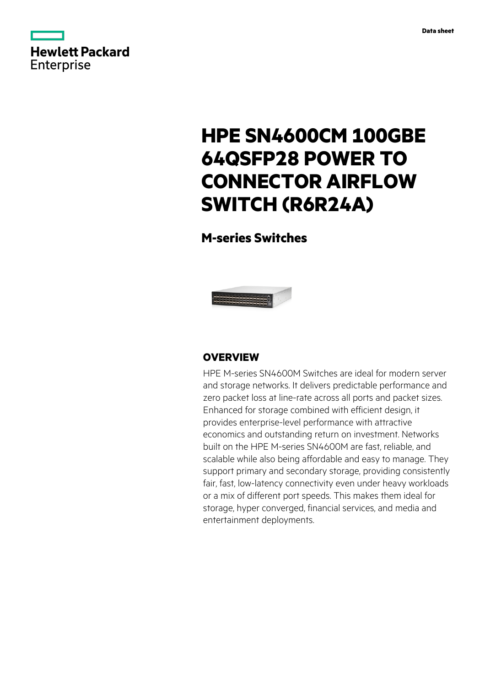

# **HPE SN4600CM 100GBE 64QSFP28 POWER TO CONNECTOR AIRFLOW SWITCH (R6R24A)**

# **M-series Switches**



# **OVERVIEW**

HPE M-series SN4600M Switches are ideal for modern server and storage networks. It delivers predictable performance and zero packet loss at line-rate across all ports and packet sizes. Enhanced for storage combined with efficient design, it provides enterprise-level performance with attractive economics and outstanding return on investment. Networks built on the HPE M-series SN4600M are fast, reliable, and scalable while also being affordable and easy to manage. They support primary and secondary storage, providing consistently fair, fast, low-latency connectivity even under heavy workloads or a mix of different port speeds. This makes them ideal for storage, hyper converged, financial services, and media and entertainment deployments.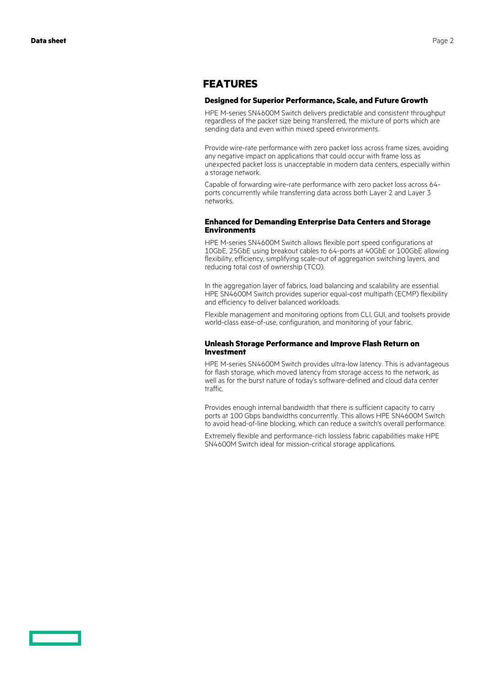## **FEATURES**

### **Designed for Superior Performance, Scale, and Future Growth**

HPE M-series SN4600M Switch delivers predictable and consistent throughput regardless of the packet size being transferred, the mixture of ports which are sending data and even within mixed speed environments.

Provide wire-rate performance with zero packet loss across frame sizes, avoiding any negative impact on applications that could occur with frame loss as unexpected packet loss is unacceptable in modern data centers, especially within a storage network.

Capable of forwarding wire-rate performance with zero packet loss across 64 ports concurrently while transferring data across both Layer 2 and Layer 3 networks.

### **Enhanced for Demanding Enterprise Data Centers and Storage Environments**

HPE M-series SN4600M Switch allows flexible port speed configurations at 10GbE, 25GbE using breakout cables to 64-ports at 40GbE or 100GbE allowing flexibility, efficiency, simplifying scale-out of aggregation switching layers, and reducing total cost of ownership (TCO).

In the aggregation layer of fabrics, load balancing and scalability are essential. HPE SN4600M Switch provides superior equal-cost multipath (ECMP) flexibility and efficiency to deliver balanced workloads.

Flexible management and monitoring options from CLI, GUI, and toolsets provide world-class ease-of-use, configuration, and monitoring of your fabric.

### **Unleash Storage Performance and Improve Flash Return on Investment**

HPE M-series SN4600M Switch provides ultra-low latency. This is advantageous for flash storage, which moved latency from storage access to the network, as well as for the burst nature of today's software-defined and cloud data center traffic.

Provides enough internal bandwidth that there is sufficient capacity to carry ports at 100 Gbps bandwidths concurrently. This allows HPE SN4600M Switch to avoid head-of-line blocking, which can reduce a switch's overall performance.

Extremely flexible and performance-rich lossless fabric capabilities make HPE SN4600M Switch ideal for mission-critical storage applications.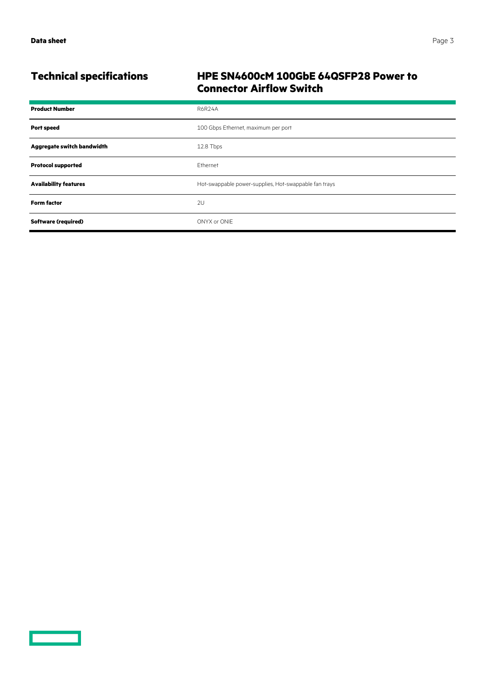# **Technical specifications HPE SN4600cM 100GbE 64QSFP28 Power to Connector Airflow Switch**

| <b>Product Number</b>        | <b>R6R24A</b>                                         |
|------------------------------|-------------------------------------------------------|
| <b>Port speed</b>            | 100 Gbps Ethernet, maximum per port                   |
| Aggregate switch bandwidth   | 12.8 Tbps                                             |
| <b>Protocol supported</b>    | Ethernet                                              |
| <b>Availability features</b> | Hot-swappable power-supplies, Hot-swappable fan trays |
| <b>Form factor</b>           | 2U                                                    |
| <b>Software (required)</b>   | ONYX or ONIE                                          |